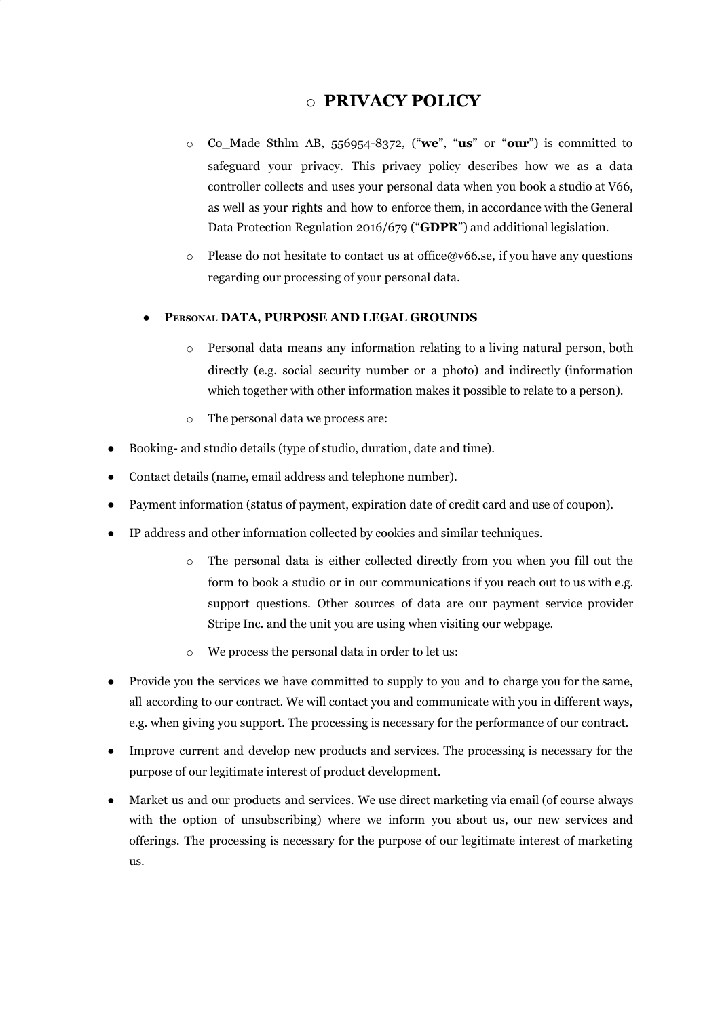# o **PRIVACY POLICY**

- o Co\_Made Sthlm AB, 556954-8372, ("**we**", "**us**" or "**our**") is committed to safeguard your privacy. This privacy policy describes how we as a data controller collects and uses your personal data when you book a studio at V66, as well as your rights and how to enforce them, in accordance with the General Data Protection Regulation 2016/679 ("**GDPR**") and additional legislation.
- o Please do not hesitate to contact us at office@v66.se, if you have any questions regarding our processing of your personal data.

## **● PERSONAL DATA, PURPOSE AND LEGAL GROUNDS**

- o Personal data means any information relating to a living natural person, both directly (e.g. social security number or a photo) and indirectly (information which together with other information makes it possible to relate to a person).
- o The personal data we process are:
- Booking- and studio details (type of studio, duration, date and time).
- Contact details (name, email address and telephone number).
- Payment information (status of payment, expiration date of credit card and use of coupon).
- IP address and other information collected by cookies and similar techniques.
	- o The personal data is either collected directly from you when you fill out the form to book a studio or in our communications if you reach out to us with e.g. support questions. Other sources of data are our payment service provider Stripe Inc. and the unit you are using when visiting our webpage.
	- o We process the personal data in order to let us:
- Provide you the services we have committed to supply to you and to charge you for the same, all according to our contract. We will contact you and communicate with you in different ways, e.g. when giving you support. The processing is necessary for the performance of our contract.
- Improve current and develop new products and services. The processing is necessary for the purpose of our legitimate interest of product development.
- Market us and our products and services. We use direct marketing via email (of course always with the option of unsubscribing) where we inform you about us, our new services and offerings. The processing is necessary for the purpose of our legitimate interest of marketing us.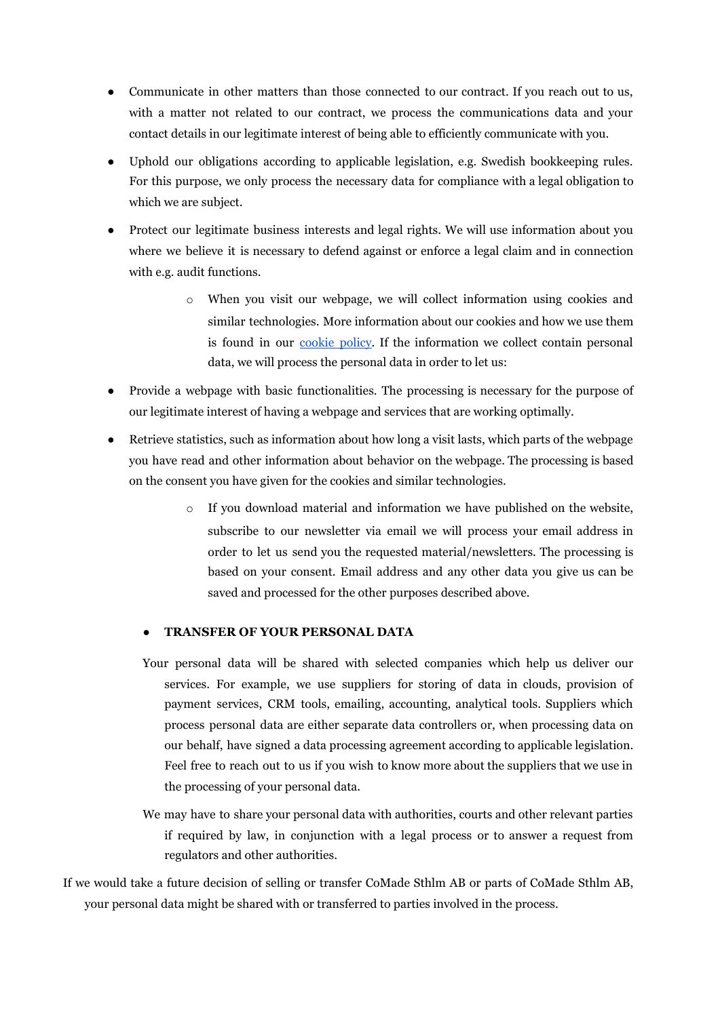- Communicate in other matters than those connected to our contract. If you reach out to us, with a matter not related to our contract, we process the communications data and your contact details in our legitimate interest of being able to efficiently communicate with you.
- Uphold our obligations according to applicable legislation, e.g. Swedish bookkeeping rules. For this purpose, we only process the necessary data for compliance with a legal obligation to which we are subject.
- Protect our legitimate business interests and legal rights. We will use information about you where we believe it is necessary to defend against or enforce a legal claim and in connection with e.g. audit functions.
	- o When you visit our webpage, we will collect information using cookies and similar technologies. More information about our cookies and how we use them is found in our [cookie](https://studio.v66.se/cookie-info/) policy. If the information we collect contain personal data, we will process the personal data in order to let us:
- Provide a webpage with basic functionalities. The processing is necessary for the purpose of our legitimate interest of having a webpage and services that are working optimally.
- Retrieve statistics, such as information about how long a visit lasts, which parts of the webpage you have read and other information about behavior on the webpage. The processing is based on the consent you have given for the cookies and similar technologies.
	- o If you download material and information we have published on the website, subscribe to our newsletter via email we will process your email address in order to let us send you the requested material/newsletters. The processing is based on your consent. Email address and any other data you give us can be saved and processed for the other purposes described above.

### **● TRANSFER OF YOUR PERSONAL DATA**

- Your personal data will be shared with selected companies which help us deliver our services. For example, we use suppliers for storing of data in clouds, provision of payment services, CRM tools, emailing, accounting, analytical tools. Suppliers which process personal data are either separate data controllers or, when processing data on our behalf, have signed a data processing agreement according to applicable legislation. Feel free to reach out to us if you wish to know more about the suppliers that we use in the processing of your personal data.
- We may have to share your personal data with authorities, courts and other relevant parties if required by law, in conjunction with a legal process or to answer a request from regulators and other authorities.

If we would take a future decision of selling or transfer CoMade Sthlm AB or parts of CoMade Sthlm AB, your personal data might be shared with or transferred to parties involved in the process.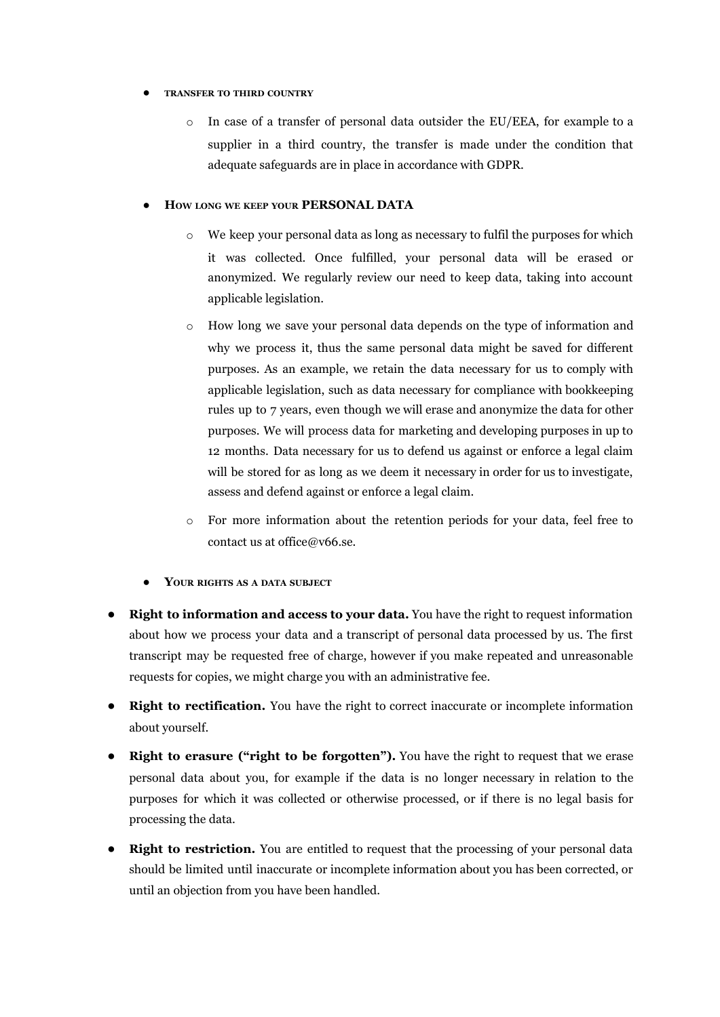#### **● TRANSFER TO THIRD COUNTRY**

o In case of a transfer of personal data outsider the EU/EEA, for example to a supplier in a third country, the transfer is made under the condition that adequate safeguards are in place in accordance with GDPR.

#### **● HOW LONG WE KEEP YOUR PERSONAL DATA**

- o We keep your personal data as long as necessary to fulfil the purposes for which it was collected. Once fulfilled, your personal data will be erased or anonymized. We regularly review our need to keep data, taking into account applicable legislation.
- o How long we save your personal data depends on the type of information and why we process it, thus the same personal data might be saved for different purposes. As an example, we retain the data necessary for us to comply with applicable legislation, such as data necessary for compliance with bookkeeping rules up to 7 years, even though we will erase and anonymize the data for other purposes. We will process data for marketing and developing purposes in up to 12 months. Data necessary for us to defend us against or enforce a legal claim will be stored for as long as we deem it necessary in order for us to investigate, assess and defend against or enforce a legal claim.
- o For more information about the retention periods for your data, feel free to contact us at office@v66.se.
- **● YOUR RIGHTS AS <sup>A</sup> DATA SUBJECT**
- **Right to information and access to your data.** You have the right to request information about how we process your data and a transcript of personal data processed by us. The first transcript may be requested free of charge, however if you make repeated and unreasonable requests for copies, we might charge you with an administrative fee.
- **Right to rectification.** You have the right to correct inaccurate or incomplete information about yourself.
- **Right to erasure ("right to be forgotten").** You have the right to request that we erase personal data about you, for example if the data is no longer necessary in relation to the purposes for which it was collected or otherwise processed, or if there is no legal basis for processing the data.
- **Right to restriction.** You are entitled to request that the processing of your personal data should be limited until inaccurate or incomplete information about you has been corrected, or until an objection from you have been handled.